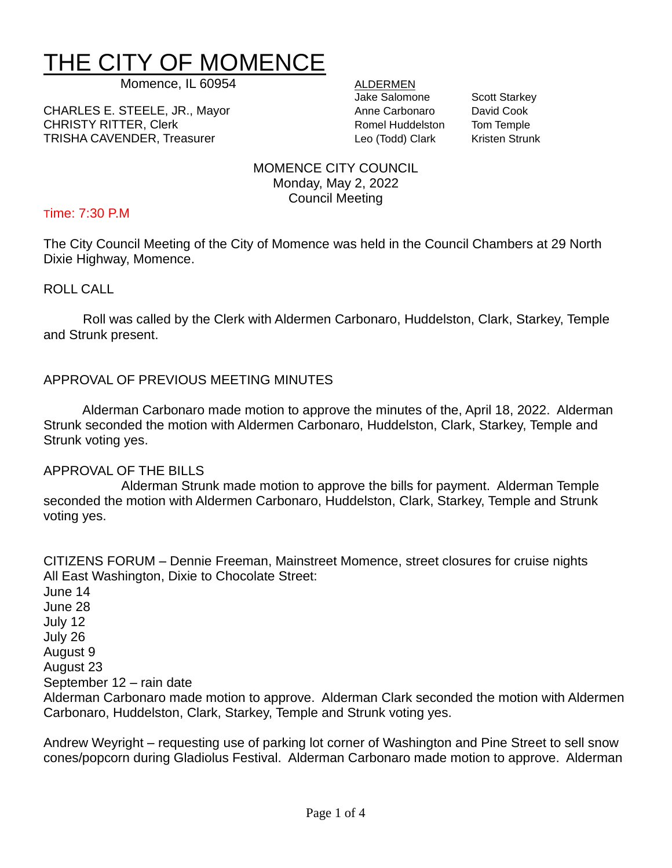# THE CITY OF MOMENCE

Momence, IL 60954 ALDERMEN

CHARLES E. STEELE, JR., Mayor **Anne Carbonaro** David Cook CHRISTY RITTER, Clerk **Romel Huddelston** Tom Temple TRISHA CAVENDER, Treasurer Leo (Todd) Clark Kristen Strunk

Jake Salomone Scott Starkey

MOMENCE CITY COUNCIL Monday, May 2, 2022 Council Meeting

# Time: 7:30 P.M

The City Council Meeting of the City of Momence was held in the Council Chambers at 29 North Dixie Highway, Momence.

ROLL CALL

Roll was called by the Clerk with Aldermen Carbonaro, Huddelston, Clark, Starkey, Temple and Strunk present.

# APPROVAL OF PREVIOUS MEETING MINUTES

Alderman Carbonaro made motion to approve the minutes of the, April 18, 2022. Alderman Strunk seconded the motion with Aldermen Carbonaro, Huddelston, Clark, Starkey, Temple and Strunk voting yes.

# APPROVAL OF THE BILLS

Alderman Strunk made motion to approve the bills for payment. Alderman Temple seconded the motion with Aldermen Carbonaro, Huddelston, Clark, Starkey, Temple and Strunk voting yes.

CITIZENS FORUM – Dennie Freeman, Mainstreet Momence, street closures for cruise nights All East Washington, Dixie to Chocolate Street:

June 14 June 28 July 12 July 26 August 9 August 23 September 12 – rain date Alderman Carbonaro made motion to approve. Alderman Clark seconded the motion with Aldermen Carbonaro, Huddelston, Clark, Starkey, Temple and Strunk voting yes.

Andrew Weyright – requesting use of parking lot corner of Washington and Pine Street to sell snow cones/popcorn during Gladiolus Festival. Alderman Carbonaro made motion to approve. Alderman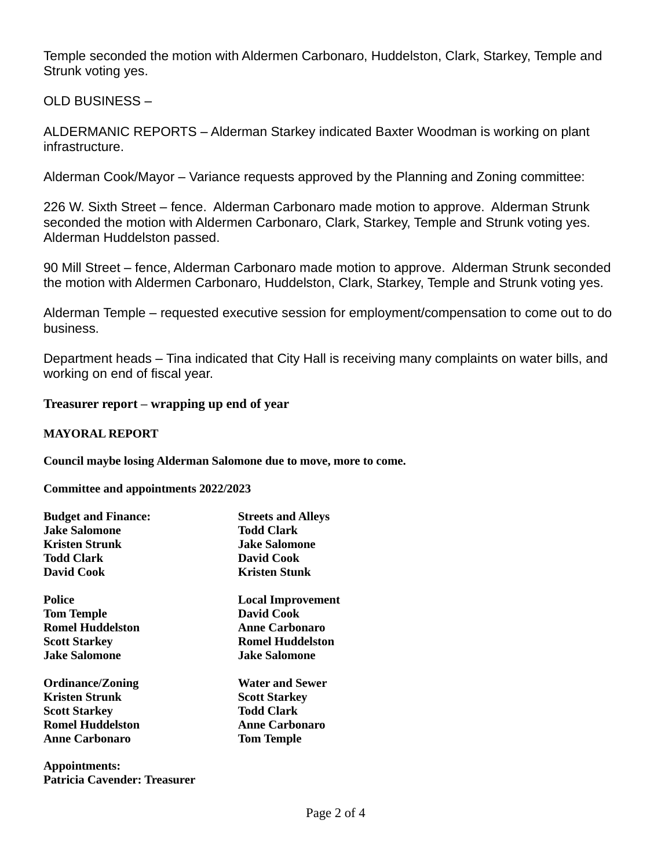Temple seconded the motion with Aldermen Carbonaro, Huddelston, Clark, Starkey, Temple and Strunk voting yes.

OLD BUSINESS –

ALDERMANIC REPORTS – Alderman Starkey indicated Baxter Woodman is working on plant infrastructure.

Alderman Cook/Mayor – Variance requests approved by the Planning and Zoning committee:

226 W. Sixth Street – fence. Alderman Carbonaro made motion to approve. Alderman Strunk seconded the motion with Aldermen Carbonaro, Clark, Starkey, Temple and Strunk voting yes. Alderman Huddelston passed.

90 Mill Street – fence, Alderman Carbonaro made motion to approve. Alderman Strunk seconded the motion with Aldermen Carbonaro, Huddelston, Clark, Starkey, Temple and Strunk voting yes.

Alderman Temple – requested executive session for employment/compensation to come out to do business.

Department heads – Tina indicated that City Hall is receiving many complaints on water bills, and working on end of fiscal year.

**Treasurer report – wrapping up end of year**

# **MAYORAL REPORT**

**Council maybe losing Alderman Salomone due to move, more to come.** 

**Committee and appointments 2022/2023**

**Patricia Cavender: Treasurer**

| <b>Budget and Finance:</b> | <b>Streets and Alleys</b> |
|----------------------------|---------------------------|
| <b>Jake Salomone</b>       | Todd Clark                |
| Kristen Strunk             | Jake Salomone             |
| <b>Todd Clark</b>          | David Cook                |
| David Cook                 | Kristen Stunk             |
| Police                     | <b>Local Improvement</b>  |
| <b>Tom Temple</b>          | David Cook                |
| <b>Romel Huddelston</b>    | <b>Anne Carbonaro</b>     |
| <b>Scott Starkey</b>       | <b>Romel Huddelston</b>   |
| <b>Jake Salomone</b>       | <b>.Iake Salomone</b>     |
| <b>Ordinance/Zoning</b>    | <b>Water and Sewer</b>    |
| <b>Kristen Strunk</b>      | <b>Scott Starkey</b>      |
| <b>Scott Starkey</b>       | Todd Clark                |
| <b>Romel Huddelston</b>    | <b>Anne Carbonaro</b>     |
| <b>Anne Carbonaro</b>      | <b>Tom Temple</b>         |
| Appointments:              |                           |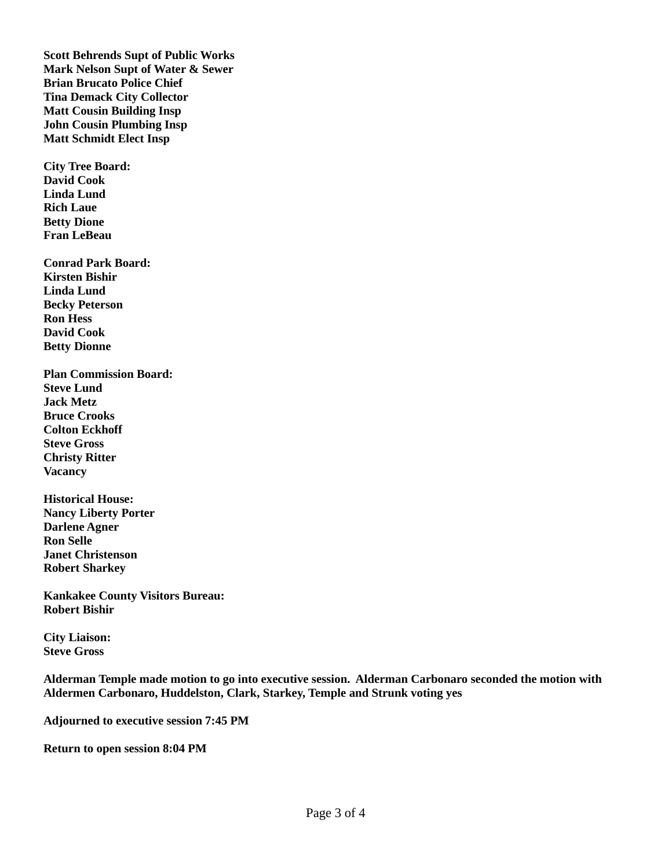**Scott Behrends Supt of Public Works Mark Nelson Supt of Water & Sewer Brian Brucato Police Chief Tina Demack City Collector Matt Cousin Building Insp John Cousin Plumbing Insp Matt Schmidt Elect Insp**

**City Tree Board: David Cook Linda Lund Rich Laue Betty Dione Fran LeBeau**

**Conrad Park Board: Kirsten Bishir Linda Lund Becky Peterson Ron Hess David Cook Betty Dionne**

**Plan Commission Board: Steve Lund Jack Metz Bruce Crooks Colton Eckhoff Steve Gross Christy Ritter Vacancy**

**Historical House: Nancy Liberty Porter Darlene Agner Ron Selle Janet Christenson Robert Sharkey**

**Kankakee County Visitors Bureau: Robert Bishir**

**City Liaison: Steve Gross**

**Alderman Temple made motion to go into executive session. Alderman Carbonaro seconded the motion with Aldermen Carbonaro, Huddelston, Clark, Starkey, Temple and Strunk voting yes**

**Adjourned to executive session 7:45 PM**

**Return to open session 8:04 PM**